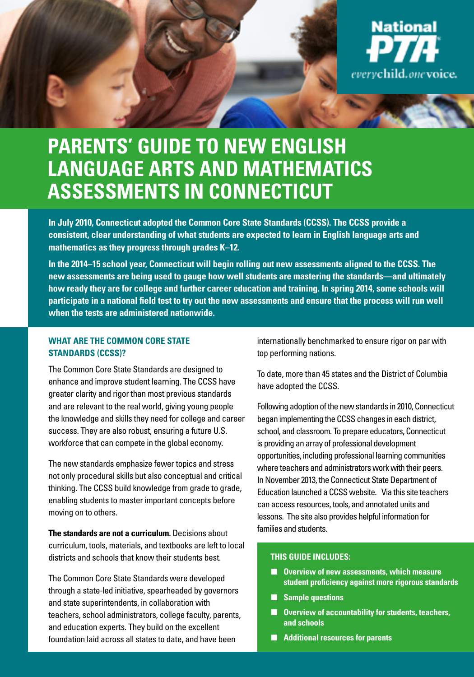

## **Parents' Guide to New English Language Arts and Mathematics Assessments in Connecticut**

**In July 2010, Connecticut adopted the Common Core State Standards (CCSS). The CCSS provide a consistent, clear understanding of what students are expected to learn in English language arts and mathematics as they progress through grades K–12.** 

**In the 2014–15 school year, Connecticut will begin rolling out new assessments aligned to the CCSS. The new assessments are being used to gauge how well students are mastering the standards—and ultimately how ready they are for college and further career education and training. In spring 2014, some schools will participate in a national field test to try out the new assessments and ensure that the process will run well when the tests are administered nationwide.**

#### **What Are the Common Core State Standards (CCSS)?**

The Common Core State Standards are designed to enhance and improve student learning. The CCSS have greater clarity and rigor than most previous standards and are relevant to the real world, giving young people the knowledge and skills they need for college and career success. They are also robust, ensuring a future U.S. workforce that can compete in the global economy.

The new standards emphasize fewer topics and stress not only procedural skills but also conceptual and critical thinking. The CCSS build knowledge from grade to grade, enabling students to master important concepts before moving on to others.

**The standards are not a curriculum.** Decisions about curriculum, tools, materials, and textbooks are left to local districts and schools that know their students best.

The Common Core State Standards were developed through a state-led initiative, spearheaded by governors and state superintendents, in collaboration with teachers, school administrators, college faculty, parents, and education experts. They build on the excellent foundation laid across all states to date, and have been

internationally benchmarked to ensure rigor on par with top performing nations.

To date, more than 45 states and the District of Columbia have adopted the CCSS.

Following adoption of the new standards in 2010, Connecticut began implementing the CCSS changes in each district, school, and classroom. To prepare educators, Connecticut is providing an array of professional development opportunities, including professional learning communities where teachers and administrators work with their peers. In November 2013, the Connecticut State Department of Education launched a CCSS website. Via this site teachers can access resources, tools, and annotated units and lessons. The site also provides helpful information for families and students.

#### **This Guide Includes:**

- **Overview of new assessments, which measure student proficiency against more rigorous standards**
- **Sample questions**
- **Overview of accountability for students, teachers, and schools**
- **Additional resources for parents**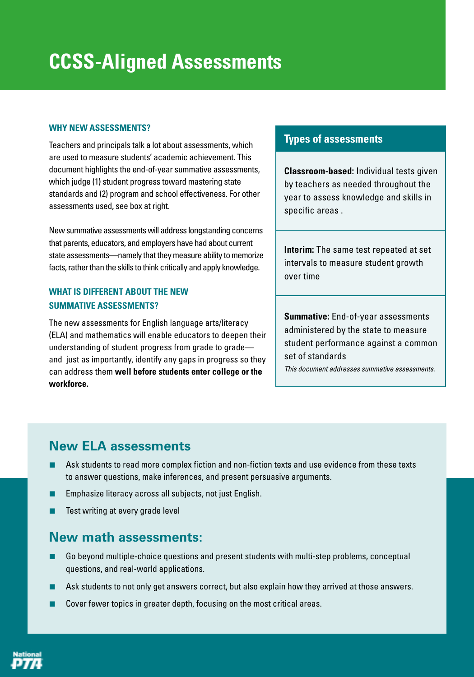#### **Why new assessments?**

Teachers and principals talk a lot about assessments, which are used to measure students' academic achievement. This document highlights the end-of-year summative assessments, which judge (1) student progress toward mastering state standards and (2) program and school effectiveness. For other assessments used, see box at right.

New summative assessments will address longstanding concerns that parents, educators, and employers have had about current state assessments—namely that they measure ability to memorize facts, rather than the skills to think critically and apply knowledge.

### **What is different about the new summative assessments?**

The new assessments for English language arts/literacy (ELA) and mathematics will enable educators to deepen their understanding of student progress from grade to grade and just as importantly, identify any gaps in progress so they can address them **well before students enter college or the workforce.**

## **Types of assessments**

**Classroom-based:** Individual tests given by teachers as needed throughout the year to assess knowledge and skills in specific areas .

**Interim:** The same test repeated at set intervals to measure student growth over time

**Summative:** End-of-year assessments administered by the state to measure student performance against a common set of standards *This document addresses summative assessments.*

## **New ELA assessments**

- Ask students to read more complex fiction and non-fiction texts and use evidence from these texts to answer questions, make inferences, and present persuasive arguments.
- Emphasize literacy across all subjects, not just English.
- Test writing at every grade level

## **New math assessments:**

- Go beyond multiple-choice questions and present students with multi-step problems, conceptual questions, and real-world applications.
- Ask students to not only get answers correct, but also explain how they arrived at those answers.
- Cover fewer topics in greater depth, focusing on the most critical areas.

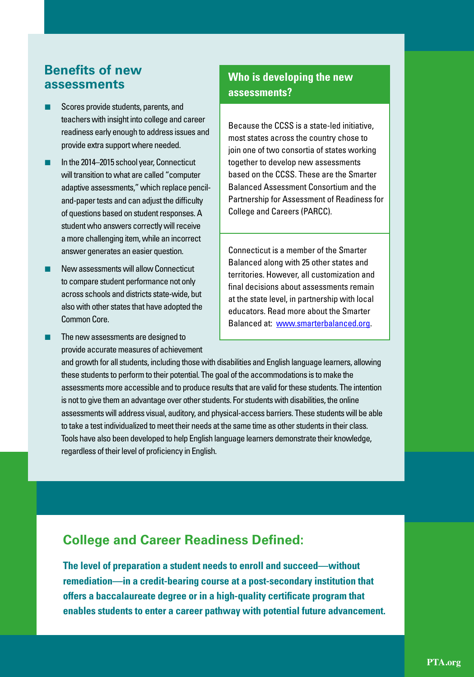## **Benefits of new assessments**

- Scores provide students, parents, and teachers with insight into college and career readiness early enough to address issues and provide extra support where needed.
- In the 2014–2015 school year, Connecticut will transition to what are called "computer adaptive assessments," which replace penciland-paper tests and can adjust the difficulty of questions based on student responses. A student who answers correctly will receive a more challenging item, while an incorrect answer generates an easier question.
- New assessments will allow Connecticut to compare student performance not only across schools and districts state-wide, but also with other states that have adopted the Common Core.
- The new assessments are designed to provide accurate measures of achievement

## **Who is developing the new assessments?**

Because the CCSS is a state-led initiative, most states across the country chose to join one of two consortia of states working together to develop new assessments based on the CCSS. These are the Smarter Balanced Assessment Consortium and the Partnership for Assessment of Readiness for College and Careers (PARCC).

Connecticut is a member of the Smarter Balanced along with 25 other states and territories. However, all customization and final decisions about assessments remain at the state level, in partnership with local educators. Read more about the Smarter Balanced at: [www.smarterbalanced.org](http://www.smarterbalanced.org).

and growth for all students, including those with disabilities and English language learners, allowing these students to perform to their potential. The goal of the accommodations is to make the assessments more accessible and to produce results that are valid for these students. The intention is not to give them an advantage over other students. For students with disabilities, the online assessments will address visual, auditory, and physical-access barriers. These students will be able to take a test individualized to meet their needs at the same time as other students in their class. Tools have also been developed to help English language learners demonstrate their knowledge, regardless of their level of proficiency in English.

## **College and Career Readiness Defined:**

**The level of preparation a student needs to enroll and succeed—without remediation—in a credit-bearing course at a post-secondary institution that offers a baccalaureate degree or in a high-quality certificate program that enables students to enter a career pathway with potential future advancement.**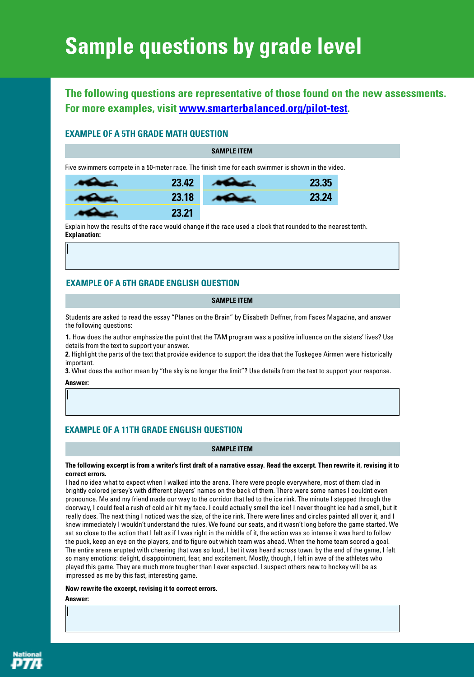# **Sample questions by grade level**

## **The following questions are representative of those found on the new assessments. For more examples, visit [www.smarterbalanced.org/pilot-test](http://www.smarterbalanced.org/pilot-test).**

#### **Example of a 5th grade math question**

**SAMPLE ITEM**

Five swimmers compete in a 50-meter race. The finish time for each swimmer is shown in the video.

| 23.42 | $-3.35$ |
|-------|---------|
| 23.18 | , 24    |
| .21   |         |

Explain how the results of the race would change if the race used a clock that rounded to the nearest tenth. **Explanation:**

#### **Example of a 6th grade English question**

#### **SAMPLE ITEM**

Students are asked to read the essay "Planes on the Brain" by Elisabeth Deffner, from Faces Magazine, and answer the following questions:

**1.** How does the author emphasize the point that the TAM program was a positive influence on the sisters' lives? Use details from the text to support your answer.

**2.** Highlight the parts of the text that provide evidence to support the idea that the Tuskegee Airmen were historically important.

**3.** What does the author mean by "the sky is no longer the limit"? Use details from the text to support your response. **Answer:**

#### **Example of a 11th grade English question**

#### **SAMPLE ITEM**

#### **The following excerpt is from a writer's first draft of a narrative essay. Read the excerpt. Then rewrite it, revising it to correct errors.**

I had no idea what to expect when I walked into the arena. There were people everywhere, most of them clad in brightly colored jersey's with different players' names on the back of them. There were some names I couldnt even pronounce. Me and my friend made our way to the corridor that led to the ice rink. The minute I stepped through the doorway, I could feel a rush of cold air hit my face. I could actually smell the ice! I never thought ice had a smell, but it really does. The next thing I noticed was the size, of the ice rink. There were lines and circles painted all over it, and I knew immediately I wouldn't understand the rules. We found our seats, and it wasn't long before the game started. We sat so close to the action that I felt as if I was right in the middle of it, the action was so intense it was hard to follow the puck, keep an eye on the players, and to figure out which team was ahead. When the home team scored a goal. The entire arena erupted with cheering that was so loud, I bet it was heard across town. by the end of the game, I felt so many emotions: delight, disappointment, fear, and excitement. Mostly, though, I felt in awe of the athletes who played this game. They are much more tougher than I ever expected. I suspect others new to hockey will be as impressed as me by this fast, interesting game.

#### **Now rewrite the excerpt, revising it to correct errors.**

**Answer:**

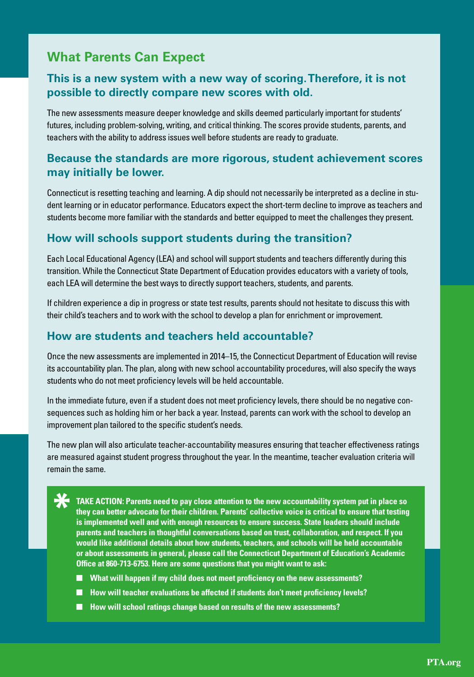## **What Parents Can Expect**

## **This is a new system with a new way of scoring. Therefore, it is not possible to directly compare new scores with old.**

The new assessments measure deeper knowledge and skills deemed particularly important for students' futures, including problem-solving, writing, and critical thinking. The scores provide students, parents, and teachers with the ability to address issues well before students are ready to graduate.

## **Because the standards are more rigorous, student achievement scores may initially be lower.**

Connecticut is resetting teaching and learning. A dip should not necessarily be interpreted as a decline in student learning or in educator performance. Educators expect the short-term decline to improve as teachers and students become more familiar with the standards and better equipped to meet the challenges they present.

### **How will schools support students during the transition?**

Each Local Educational Agency (LEA) and school will support students and teachers differently during this transition. While the Connecticut State Department of Education provides educators with a variety of tools, each LEA will determine the best ways to directly support teachers, students, and parents.

If children experience a dip in progress or state test results, parents should not hesitate to discuss this with their child's teachers and to work with the school to develop a plan for enrichment or improvement.

### **How are students and teachers held accountable?**

Once the new assessments are implemented in 2014–15, the Connecticut Department of Education will revise its accountability plan. The plan, along with new school accountability procedures, will also specify the ways students who do not meet proficiency levels will be held accountable.

In the immediate future, even if a student does not meet proficiency levels, there should be no negative consequences such as holding him or her back a year. Instead, parents can work with the school to develop an improvement plan tailored to the specific student's needs.

The new plan will also articulate teacher-accountability measures ensuring that teacher effectiveness ratings are measured against student progress throughout the year. In the meantime, teacher evaluation criteria will remain the same.

**\* TAKE ACTION: Parents need to pay close attention to the new accountability system put in place so they can better advocate for their children. Parents' collective voice is critical to ensure that testing is implemented well and with enough resources to ensure success. State leaders should include parents and teachers in thoughtful conversations based on trust, collaboration, and respect. If you would like additional details about how students, teachers, and schools will be held accountable or about assessments in general, please call the Connecticut Department of Education's Academic Office at 860-713-6753. Here are some questions that you might want to ask:** 

- What will happen if my child does not meet proficiency on the new assessments?
- **How will teacher evaluations be affected if students don't meet proficiency levels?**
- How will school ratings change based on results of the new assessments?